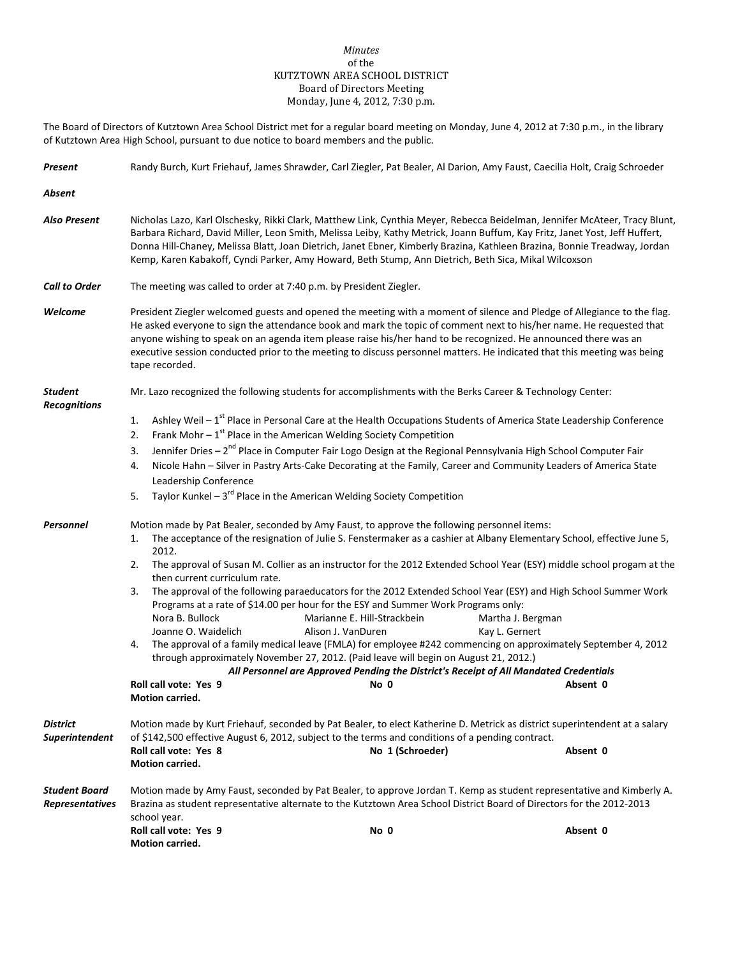## *Minutes* of the KUTZTOWN AREA SCHOOL DISTRICT Board of Directors Meeting Monday, June 4, 2012, 7:30 p.m.

The Board of Directors of Kutztown Area School District met for a regular board meeting on Monday, June 4, 2012 at 7:30 p.m., in the library of Kutztown Area High School, pursuant to due notice to board members and the public.

| Present                                        | Randy Burch, Kurt Friehauf, James Shrawder, Carl Ziegler, Pat Bealer, Al Darion, Amy Faust, Caecilia Holt, Craig Schroeder                                                                                                                                                                                                                                                                                                                                                                                                                                                                                                                                                                                                                                                                                                                                                                                                                                                                                                                                                                                                       |  |  |  |  |
|------------------------------------------------|----------------------------------------------------------------------------------------------------------------------------------------------------------------------------------------------------------------------------------------------------------------------------------------------------------------------------------------------------------------------------------------------------------------------------------------------------------------------------------------------------------------------------------------------------------------------------------------------------------------------------------------------------------------------------------------------------------------------------------------------------------------------------------------------------------------------------------------------------------------------------------------------------------------------------------------------------------------------------------------------------------------------------------------------------------------------------------------------------------------------------------|--|--|--|--|
| Absent                                         |                                                                                                                                                                                                                                                                                                                                                                                                                                                                                                                                                                                                                                                                                                                                                                                                                                                                                                                                                                                                                                                                                                                                  |  |  |  |  |
| <b>Also Present</b>                            | Nicholas Lazo, Karl Olschesky, Rikki Clark, Matthew Link, Cynthia Meyer, Rebecca Beidelman, Jennifer McAteer, Tracy Blunt,<br>Barbara Richard, David Miller, Leon Smith, Melissa Leiby, Kathy Metrick, Joann Buffum, Kay Fritz, Janet Yost, Jeff Huffert,<br>Donna Hill-Chaney, Melissa Blatt, Joan Dietrich, Janet Ebner, Kimberly Brazina, Kathleen Brazina, Bonnie Treadway, Jordan<br>Kemp, Karen Kabakoff, Cyndi Parker, Amy Howard, Beth Stump, Ann Dietrich, Beth Sica, Mikal Wilcoxson                                                                                                                                                                                                                                                                                                                                                                                                                                                                                                                                                                                                                                   |  |  |  |  |
| <b>Call to Order</b>                           | The meeting was called to order at 7:40 p.m. by President Ziegler.                                                                                                                                                                                                                                                                                                                                                                                                                                                                                                                                                                                                                                                                                                                                                                                                                                                                                                                                                                                                                                                               |  |  |  |  |
| Welcome                                        | President Ziegler welcomed guests and opened the meeting with a moment of silence and Pledge of Allegiance to the flag.<br>He asked everyone to sign the attendance book and mark the topic of comment next to his/her name. He requested that<br>anyone wishing to speak on an agenda item please raise his/her hand to be recognized. He announced there was an<br>executive session conducted prior to the meeting to discuss personnel matters. He indicated that this meeting was being<br>tape recorded.                                                                                                                                                                                                                                                                                                                                                                                                                                                                                                                                                                                                                   |  |  |  |  |
| <b>Student</b><br><b>Recognitions</b>          | Mr. Lazo recognized the following students for accomplishments with the Berks Career & Technology Center:                                                                                                                                                                                                                                                                                                                                                                                                                                                                                                                                                                                                                                                                                                                                                                                                                                                                                                                                                                                                                        |  |  |  |  |
|                                                | Ashley Weil - 1 <sup>st</sup> Place in Personal Care at the Health Occupations Students of America State Leadership Conference<br>1.<br>Frank Mohr $-1^{st}$ Place in the American Welding Society Competition<br>2.<br>Jennifer Dries - 2 <sup>nd</sup> Place in Computer Fair Logo Design at the Regional Pennsylvania High School Computer Fair<br>3.<br>Nicole Hahn - Silver in Pastry Arts-Cake Decorating at the Family, Career and Community Leaders of America State<br>4.<br>Leadership Conference<br>Taylor Kunkel – $3^{rd}$ Place in the American Welding Society Competition<br>5.                                                                                                                                                                                                                                                                                                                                                                                                                                                                                                                                  |  |  |  |  |
| Personnel                                      | Motion made by Pat Bealer, seconded by Amy Faust, to approve the following personnel items:<br>The acceptance of the resignation of Julie S. Fenstermaker as a cashier at Albany Elementary School, effective June 5,<br>1.<br>2012.<br>The approval of Susan M. Collier as an instructor for the 2012 Extended School Year (ESY) middle school progam at the<br>2.<br>then current curriculum rate.<br>The approval of the following paraeducators for the 2012 Extended School Year (ESY) and High School Summer Work<br>3.<br>Programs at a rate of \$14.00 per hour for the ESY and Summer Work Programs only:<br>Nora B. Bullock<br>Marianne E. Hill-Strackbein<br>Martha J. Bergman<br>Joanne O. Waidelich<br>Alison J. VanDuren<br>Kay L. Gernert<br>The approval of a family medical leave (FMLA) for employee #242 commencing on approximately September 4, 2012<br>4.<br>through approximately November 27, 2012. (Paid leave will begin on August 21, 2012.)<br>All Personnel are Approved Pending the District's Receipt of All Mandated Credentials<br>Roll call vote: Yes 9<br>Absent 0<br>No 0<br>Motion carried. |  |  |  |  |
| District<br>Superintendent                     | Motion made by Kurt Friehauf, seconded by Pat Bealer, to elect Katherine D. Metrick as district superintendent at a salary<br>of \$142,500 effective August 6, 2012, subject to the terms and conditions of a pending contract.<br>Roll call vote: Yes 8<br>No 1 (Schroeder)<br>Absent 0<br><b>Motion carried.</b>                                                                                                                                                                                                                                                                                                                                                                                                                                                                                                                                                                                                                                                                                                                                                                                                               |  |  |  |  |
| <b>Student Board</b><br><b>Representatives</b> | Motion made by Amy Faust, seconded by Pat Bealer, to approve Jordan T. Kemp as student representative and Kimberly A.<br>Brazina as student representative alternate to the Kutztown Area School District Board of Directors for the 2012-2013<br>school year.<br>Roll call vote: Yes 9<br>No 0<br>Absent 0<br>Motion carried.                                                                                                                                                                                                                                                                                                                                                                                                                                                                                                                                                                                                                                                                                                                                                                                                   |  |  |  |  |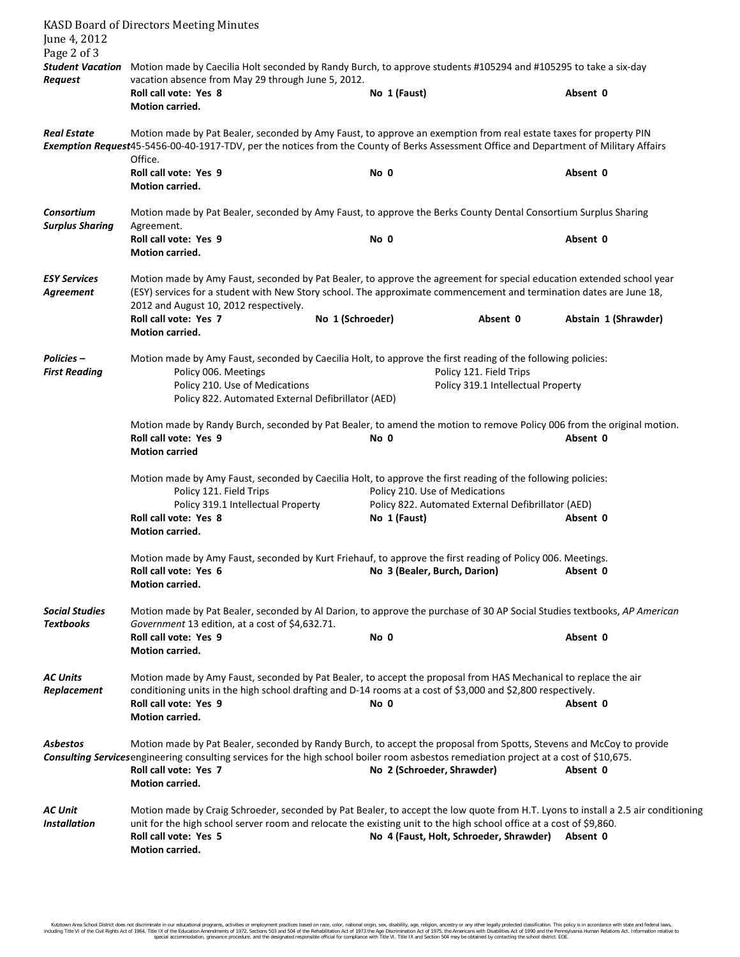| June 4, 2012<br>Page 2 of 3                                                                                                                                                                                                                                                                  | <b>KASD Board of Directors Meeting Minutes</b>                                                                                                                                                                                                                                                                                                        |                              |                                                    |                      |  |  |
|----------------------------------------------------------------------------------------------------------------------------------------------------------------------------------------------------------------------------------------------------------------------------------------------|-------------------------------------------------------------------------------------------------------------------------------------------------------------------------------------------------------------------------------------------------------------------------------------------------------------------------------------------------------|------------------------------|----------------------------------------------------|----------------------|--|--|
| <b>Request</b>                                                                                                                                                                                                                                                                               | Student Vacation Motion made by Caecilia Holt seconded by Randy Burch, to approve students #105294 and #105295 to take a six-day<br>vacation absence from May 29 through June 5, 2012.                                                                                                                                                                |                              |                                                    |                      |  |  |
|                                                                                                                                                                                                                                                                                              | Roll call vote: Yes 8<br>Motion carried.                                                                                                                                                                                                                                                                                                              | No 1 (Faust)                 |                                                    | Absent 0             |  |  |
| <b>Real Estate</b><br>Motion made by Pat Bealer, seconded by Amy Faust, to approve an exemption from real estate taxes for property PIN<br>Exemption Request45-5456-00-40-1917-TDV, per the notices from the County of Berks Assessment Office and Department of Military Affairs<br>Office. |                                                                                                                                                                                                                                                                                                                                                       |                              |                                                    |                      |  |  |
|                                                                                                                                                                                                                                                                                              | Roll call vote: Yes 9<br>Motion carried.                                                                                                                                                                                                                                                                                                              | No 0                         |                                                    | Absent 0             |  |  |
| Consortium<br><b>Surplus Sharing</b>                                                                                                                                                                                                                                                         | Motion made by Pat Bealer, seconded by Amy Faust, to approve the Berks County Dental Consortium Surplus Sharing<br>Agreement.                                                                                                                                                                                                                         |                              |                                                    |                      |  |  |
|                                                                                                                                                                                                                                                                                              | Roll call vote: Yes 9<br>Motion carried.                                                                                                                                                                                                                                                                                                              | No 0                         |                                                    | Absent 0             |  |  |
| <b>ESY Services</b><br>Agreement                                                                                                                                                                                                                                                             | Motion made by Amy Faust, seconded by Pat Bealer, to approve the agreement for special education extended school year<br>(ESY) services for a student with New Story school. The approximate commencement and termination dates are June 18,<br>2012 and August 10, 2012 respectively.                                                                |                              |                                                    |                      |  |  |
|                                                                                                                                                                                                                                                                                              | Roll call vote: Yes 7<br>Motion carried.                                                                                                                                                                                                                                                                                                              | No 1 (Schroeder)             | Absent 0                                           | Abstain 1 (Shrawder) |  |  |
| <b>Policies –</b><br><b>First Reading</b>                                                                                                                                                                                                                                                    | Motion made by Amy Faust, seconded by Caecilia Holt, to approve the first reading of the following policies:<br>Policy 006. Meetings<br>Policy 121. Field Trips<br>Policy 210. Use of Medications<br>Policy 319.1 Intellectual Property<br>Policy 822. Automated External Defibrillator (AED)                                                         |                              |                                                    |                      |  |  |
|                                                                                                                                                                                                                                                                                              | Motion made by Randy Burch, seconded by Pat Bealer, to amend the motion to remove Policy 006 from the original motion.<br>Roll call vote: Yes 9<br>No 0<br>Absent 0<br><b>Motion carried</b>                                                                                                                                                          |                              |                                                    |                      |  |  |
|                                                                                                                                                                                                                                                                                              | Motion made by Amy Faust, seconded by Caecilia Holt, to approve the first reading of the following policies:<br>Policy 210. Use of Medications<br>Policy 121. Field Trips                                                                                                                                                                             |                              |                                                    |                      |  |  |
|                                                                                                                                                                                                                                                                                              | Policy 319.1 Intellectual Property<br>Roll call vote: Yes 8<br>Motion carried.                                                                                                                                                                                                                                                                        | No 1 (Faust)                 | Policy 822. Automated External Defibrillator (AED) | Absent 0             |  |  |
|                                                                                                                                                                                                                                                                                              | Motion made by Amy Faust, seconded by Kurt Friehauf, to approve the first reading of Policy 006. Meetings.<br>Roll call vote: Yes 6<br>Motion carried.                                                                                                                                                                                                | No 3 (Bealer, Burch, Darion) |                                                    | Absent 0             |  |  |
| <b>Social Studies</b><br><b>Textbooks</b>                                                                                                                                                                                                                                                    | Motion made by Pat Bealer, seconded by Al Darion, to approve the purchase of 30 AP Social Studies textbooks, AP American<br>Government 13 edition, at a cost of \$4,632.71.                                                                                                                                                                           |                              |                                                    |                      |  |  |
|                                                                                                                                                                                                                                                                                              | Roll call vote: Yes 9<br>Motion carried.                                                                                                                                                                                                                                                                                                              | No 0                         |                                                    | Absent 0             |  |  |
| <b>AC Units</b><br>Replacement                                                                                                                                                                                                                                                               | Motion made by Amy Faust, seconded by Pat Bealer, to accept the proposal from HAS Mechanical to replace the air<br>conditioning units in the high school drafting and D-14 rooms at a cost of \$3,000 and \$2,800 respectively.<br>Roll call vote: Yes 9<br>Motion carried.                                                                           | No 0                         |                                                    | Absent 0             |  |  |
| <b>Asbestos</b>                                                                                                                                                                                                                                                                              | Motion made by Pat Bealer, seconded by Randy Burch, to accept the proposal from Spotts, Stevens and McCoy to provide<br>Consulting Services engineering consulting services for the high school boiler room asbestos remediation project at a cost of \$10,675.<br>Roll call vote: Yes 7<br>No 2 (Schroeder, Shrawder)<br>Absent 0<br>Motion carried. |                              |                                                    |                      |  |  |
| <b>AC Unit</b><br><b>Installation</b>                                                                                                                                                                                                                                                        | Motion made by Craig Schroeder, seconded by Pat Bealer, to accept the low quote from H.T. Lyons to install a 2.5 air conditioning<br>unit for the high school server room and relocate the existing unit to the high school office at a cost of \$9,860.<br>Roll call vote: Yes 5<br>Motion carried.                                                  |                              | No 4 (Faust, Holt, Schroeder, Shrawder)            | Absent 0             |  |  |